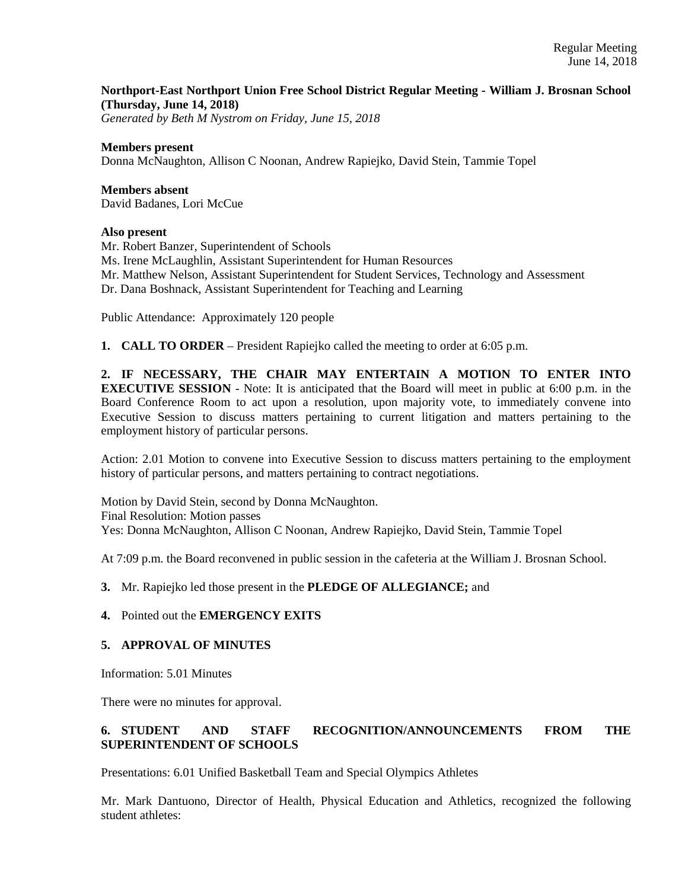## **Northport-East Northport Union Free School District Regular Meeting - William J. Brosnan School (Thursday, June 14, 2018)**

*Generated by Beth M Nystrom on Friday, June 15, 2018*

#### **Members present**

Donna McNaughton, Allison C Noonan, Andrew Rapiejko, David Stein, Tammie Topel

**Members absent**  David Badanes, Lori McCue

#### **Also present**

Mr. Robert Banzer, Superintendent of Schools Ms. Irene McLaughlin, Assistant Superintendent for Human Resources Mr. Matthew Nelson, Assistant Superintendent for Student Services, Technology and Assessment Dr. Dana Boshnack, Assistant Superintendent for Teaching and Learning

Public Attendance: Approximately 120 people

**1. CALL TO ORDER** – President Rapiejko called the meeting to order at 6:05 p.m.

**2. IF NECESSARY, THE CHAIR MAY ENTERTAIN A MOTION TO ENTER INTO EXECUTIVE SESSION** - Note: It is anticipated that the Board will meet in public at 6:00 p.m. in the Board Conference Room to act upon a resolution, upon majority vote, to immediately convene into Executive Session to discuss matters pertaining to current litigation and matters pertaining to the employment history of particular persons.

Action: 2.01 Motion to convene into Executive Session to discuss matters pertaining to the employment history of particular persons, and matters pertaining to contract negotiations.

Motion by David Stein, second by Donna McNaughton. Final Resolution: Motion passes Yes: Donna McNaughton, Allison C Noonan, Andrew Rapiejko, David Stein, Tammie Topel

At 7:09 p.m. the Board reconvened in public session in the cafeteria at the William J. Brosnan School.

**3.** Mr. Rapiejko led those present in the **PLEDGE OF ALLEGIANCE;** and

## **4.** Pointed out the **EMERGENCY EXITS**

#### **5. APPROVAL OF MINUTES**

Information: 5.01 Minutes

There were no minutes for approval.

# **6. STUDENT AND STAFF RECOGNITION/ANNOUNCEMENTS FROM THE SUPERINTENDENT OF SCHOOLS**

Presentations: 6.01 Unified Basketball Team and Special Olympics Athletes

Mr. Mark Dantuono, Director of Health, Physical Education and Athletics, recognized the following student athletes: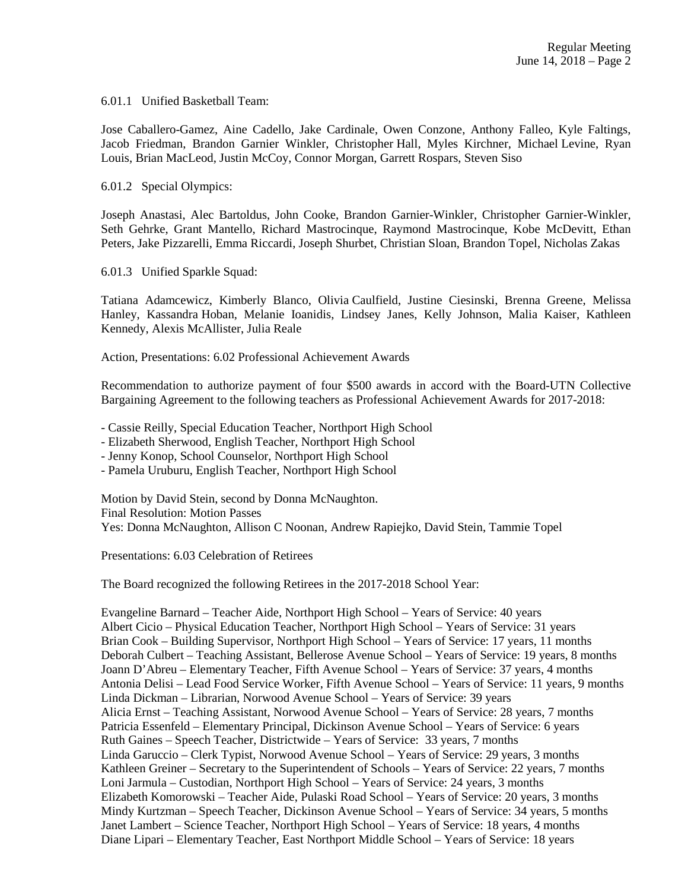6.01.1 Unified Basketball Team:

Jose Caballero-Gamez, Aine Cadello, Jake Cardinale, Owen Conzone, Anthony Falleo, Kyle Faltings, Jacob Friedman, Brandon Garnier Winkler, Christopher Hall, Myles Kirchner, Michael Levine, Ryan Louis, Brian MacLeod, Justin McCoy, Connor Morgan, Garrett Rospars, Steven Siso

6.01.2 Special Olympics:

Joseph Anastasi, Alec Bartoldus, John Cooke, Brandon Garnier-Winkler, Christopher Garnier-Winkler, Seth Gehrke, Grant Mantello, Richard Mastrocinque, Raymond Mastrocinque, Kobe McDevitt, Ethan Peters, Jake Pizzarelli, Emma Riccardi, Joseph Shurbet, Christian Sloan, Brandon Topel, Nicholas Zakas

6.01.3 Unified Sparkle Squad:

Tatiana Adamcewicz, Kimberly Blanco, Olivia Caulfield, Justine Ciesinski, Brenna Greene, Melissa Hanley, Kassandra Hoban, Melanie Ioanidis, Lindsey Janes, Kelly Johnson, Malia Kaiser, Kathleen Kennedy, Alexis McAllister, Julia Reale

Action, Presentations: 6.02 Professional Achievement Awards

Recommendation to authorize payment of four \$500 awards in accord with the Board-UTN Collective Bargaining Agreement to the following teachers as Professional Achievement Awards for 2017-2018:

- Cassie Reilly, Special Education Teacher, Northport High School

- Elizabeth Sherwood, English Teacher, Northport High School

- Jenny Konop, School Counselor, Northport High School

- Pamela Uruburu, English Teacher, Northport High School

Motion by David Stein, second by Donna McNaughton. Final Resolution: Motion Passes Yes: Donna McNaughton, Allison C Noonan, Andrew Rapiejko, David Stein, Tammie Topel

Presentations: 6.03 Celebration of Retirees

The Board recognized the following Retirees in the 2017-2018 School Year:

Evangeline Barnard – Teacher Aide, Northport High School – Years of Service: 40 years Albert Cicio – Physical Education Teacher, Northport High School – Years of Service: 31 years Brian Cook – Building Supervisor, Northport High School – Years of Service: 17 years, 11 months Deborah Culbert – Teaching Assistant, Bellerose Avenue School – Years of Service: 19 years, 8 months Joann D'Abreu – Elementary Teacher, Fifth Avenue School – Years of Service: 37 years, 4 months Antonia Delisi – Lead Food Service Worker, Fifth Avenue School – Years of Service: 11 years, 9 months Linda Dickman – Librarian, Norwood Avenue School – Years of Service: 39 years Alicia Ernst – Teaching Assistant, Norwood Avenue School – Years of Service: 28 years, 7 months Patricia Essenfeld – Elementary Principal, Dickinson Avenue School – Years of Service: 6 years Ruth Gaines – Speech Teacher, Districtwide – Years of Service: 33 years, 7 months Linda Garuccio – Clerk Typist, Norwood Avenue School – Years of Service: 29 years, 3 months Kathleen Greiner – Secretary to the Superintendent of Schools – Years of Service: 22 years, 7 months Loni Jarmula – Custodian, Northport High School – Years of Service: 24 years, 3 months Elizabeth Komorowski – Teacher Aide, Pulaski Road School – Years of Service: 20 years, 3 months Mindy Kurtzman – Speech Teacher, Dickinson Avenue School – Years of Service: 34 years, 5 months Janet Lambert – Science Teacher, Northport High School – Years of Service: 18 years, 4 months Diane Lipari – Elementary Teacher, East Northport Middle School – Years of Service: 18 years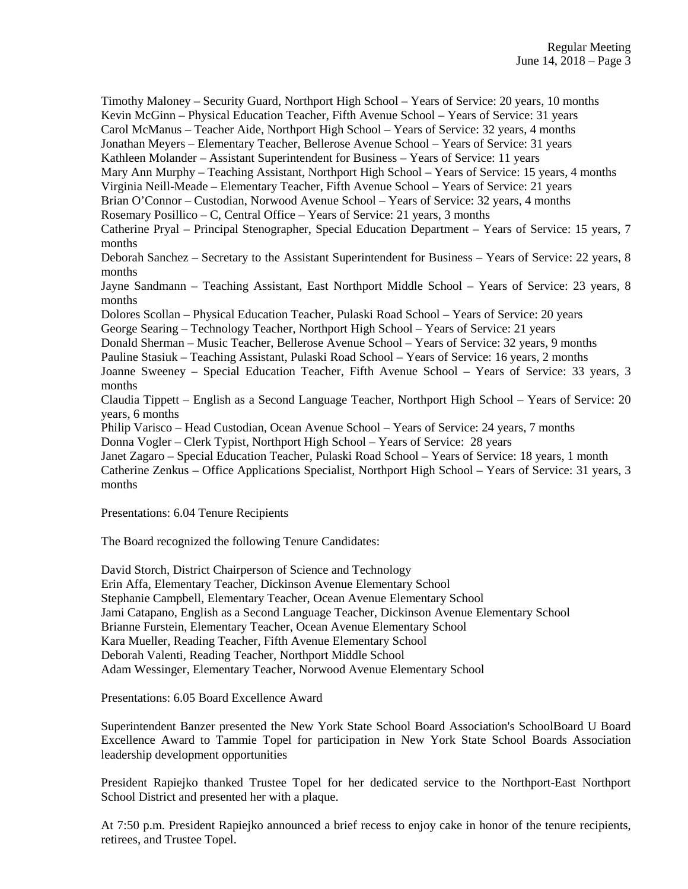Timothy Maloney – Security Guard, Northport High School – Years of Service: 20 years, 10 months Kevin McGinn – Physical Education Teacher, Fifth Avenue School – Years of Service: 31 years Carol McManus – Teacher Aide, Northport High School – Years of Service: 32 years, 4 months Jonathan Meyers – Elementary Teacher, Bellerose Avenue School – Years of Service: 31 years Kathleen Molander – Assistant Superintendent for Business – Years of Service: 11 years Mary Ann Murphy – Teaching Assistant, Northport High School – Years of Service: 15 years, 4 months Virginia Neill-Meade – Elementary Teacher, Fifth Avenue School – Years of Service: 21 years Brian O'Connor – Custodian, Norwood Avenue School – Years of Service: 32 years, 4 months Rosemary Posillico – C, Central Office – Years of Service: 21 years, 3 months Catherine Pryal – Principal Stenographer, Special Education Department – Years of Service: 15 years, 7 months Deborah Sanchez – Secretary to the Assistant Superintendent for Business – Years of Service: 22 years, 8 months Jayne Sandmann – Teaching Assistant, East Northport Middle School – Years of Service: 23 years, 8 months Dolores Scollan – Physical Education Teacher, Pulaski Road School – Years of Service: 20 years George Searing – Technology Teacher, Northport High School – Years of Service: 21 years Donald Sherman – Music Teacher, Bellerose Avenue School – Years of Service: 32 years, 9 months Pauline Stasiuk – Teaching Assistant, Pulaski Road School – Years of Service: 16 years, 2 months Joanne Sweeney – Special Education Teacher, Fifth Avenue School – Years of Service: 33 years, 3 months Claudia Tippett – English as a Second Language Teacher, Northport High School – Years of Service: 20 years, 6 months Philip Varisco – Head Custodian, Ocean Avenue School – Years of Service: 24 years, 7 months Donna Vogler – Clerk Typist, Northport High School – Years of Service: 28 years Janet Zagaro – Special Education Teacher, Pulaski Road School – Years of Service: 18 years, 1 month Catherine Zenkus – Office Applications Specialist, Northport High School – Years of Service: 31 years, 3 months

Presentations: 6.04 Tenure Recipients

The Board recognized the following Tenure Candidates:

David Storch, District Chairperson of Science and Technology Erin Affa, Elementary Teacher, Dickinson Avenue Elementary School Stephanie Campbell, Elementary Teacher, Ocean Avenue Elementary School Jami Catapano, English as a Second Language Teacher, Dickinson Avenue Elementary School Brianne Furstein, Elementary Teacher, Ocean Avenue Elementary School Kara Mueller, Reading Teacher, Fifth Avenue Elementary School Deborah Valenti, Reading Teacher, Northport Middle School Adam Wessinger, Elementary Teacher, Norwood Avenue Elementary School

Presentations: 6.05 Board Excellence Award

Superintendent Banzer presented the New York State School Board Association's SchoolBoard U Board Excellence Award to Tammie Topel for participation in New York State School Boards Association leadership development opportunities

President Rapiejko thanked Trustee Topel for her dedicated service to the Northport-East Northport School District and presented her with a plaque.

At 7:50 p.m. President Rapiejko announced a brief recess to enjoy cake in honor of the tenure recipients, retirees, and Trustee Topel.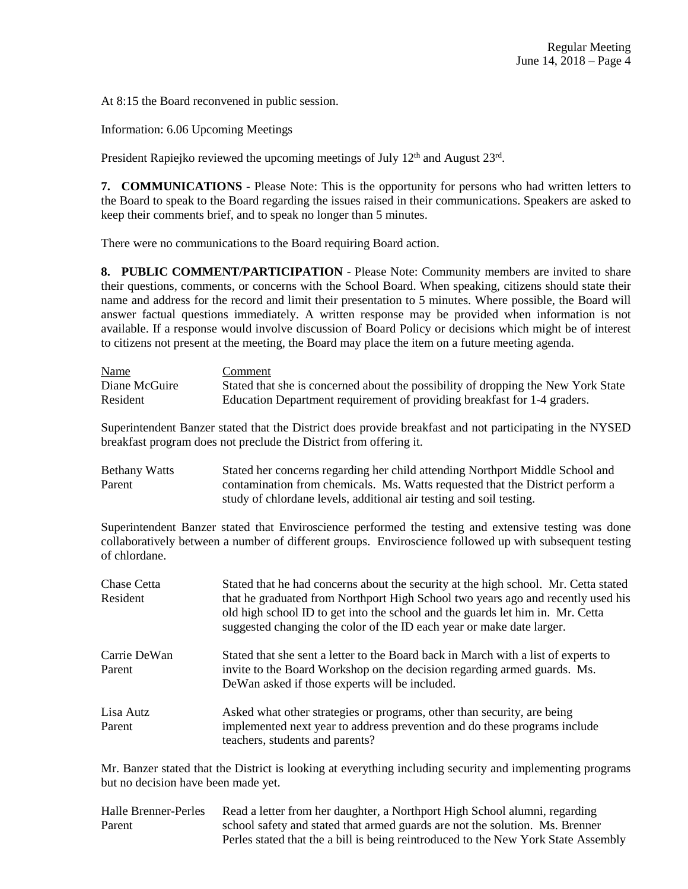At 8:15 the Board reconvened in public session.

Information: 6.06 Upcoming Meetings

President Rapiejko reviewed the upcoming meetings of July  $12<sup>th</sup>$  and August  $23<sup>rd</sup>$ .

**7. COMMUNICATIONS** - Please Note: This is the opportunity for persons who had written letters to the Board to speak to the Board regarding the issues raised in their communications. Speakers are asked to keep their comments brief, and to speak no longer than 5 minutes.

There were no communications to the Board requiring Board action.

**8. PUBLIC COMMENT/PARTICIPATION** - Please Note: Community members are invited to share their questions, comments, or concerns with the School Board. When speaking, citizens should state their name and address for the record and limit their presentation to 5 minutes. Where possible, the Board will answer factual questions immediately. A written response may be provided when information is not available. If a response would involve discussion of Board Policy or decisions which might be of interest to citizens not present at the meeting, the Board may place the item on a future meeting agenda.

| <b>Name</b>   | Comment                                                                           |
|---------------|-----------------------------------------------------------------------------------|
| Diane McGuire | Stated that she is concerned about the possibility of dropping the New York State |
| Resident      | Education Department requirement of providing breakfast for 1-4 graders.          |

Superintendent Banzer stated that the District does provide breakfast and not participating in the NYSED breakfast program does not preclude the District from offering it.

| <b>Bethany Watts</b> | Stated her concerns regarding her child attending Northport Middle School and |
|----------------------|-------------------------------------------------------------------------------|
| Parent               | contamination from chemicals. Ms. Watts requested that the District perform a |
|                      | study of chlordane levels, additional air testing and soil testing.           |

Superintendent Banzer stated that Enviroscience performed the testing and extensive testing was done collaboratively between a number of different groups. Enviroscience followed up with subsequent testing of chlordane.

| Chase Cetta  | Stated that he had concerns about the security at the high school. Mr. Cetta stated                          |
|--------------|--------------------------------------------------------------------------------------------------------------|
| Resident     | that he graduated from Northport High School two years ago and recently used his                             |
|              | old high school ID to get into the school and the guards let him in. Mr. Cetta                               |
|              | suggested changing the color of the ID each year or make date larger.                                        |
| Carrie DeWan | Stated that she sent a letter to the Board back in March with a list of experts to                           |
| Parent       | invite to the Board Workshop on the decision regarding armed guards. Ms.                                     |
|              | DeWan asked if those experts will be included.                                                               |
| Lisa Autz    | Asked what other strategies or programs, other than security, are being                                      |
| Parent       | implemented next year to address prevention and do these programs include<br>teachers, students and parents? |
|              |                                                                                                              |

Mr. Banzer stated that the District is looking at everything including security and implementing programs but no decision have been made yet.

Halle Brenner-Perles Read a letter from her daughter, a Northport High School alumni, regarding Parent school safety and stated that armed guards are not the solution. Ms. Brenner Perles stated that the a bill is being reintroduced to the New York State Assembly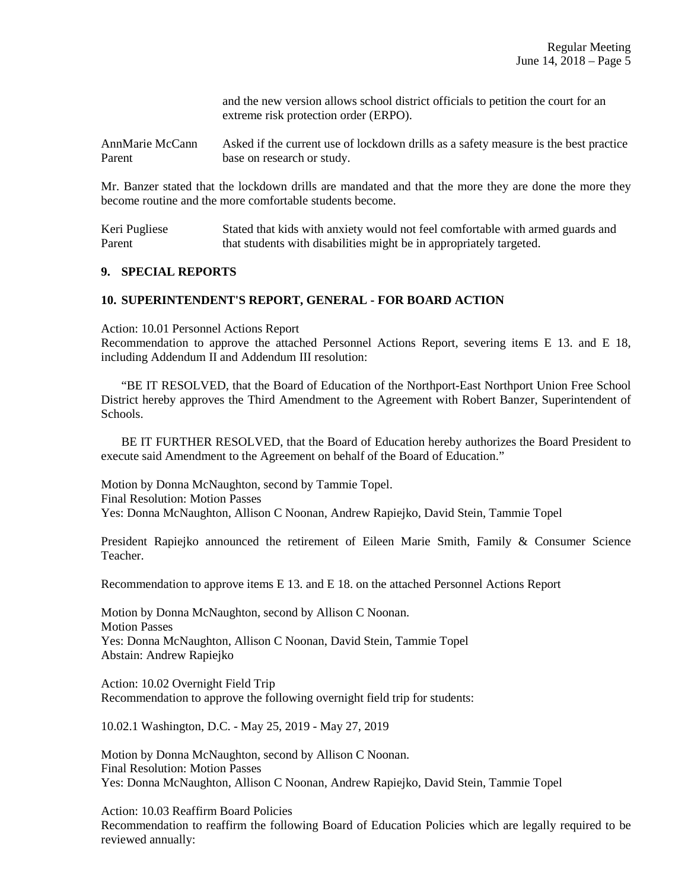and the new version allows school district officials to petition the court for an extreme risk protection order (ERPO).

AnnMarie McCann Asked if the current use of lockdown drills as a safety measure is the best practice Parent base on research or study.

Mr. Banzer stated that the lockdown drills are mandated and that the more they are done the more they become routine and the more comfortable students become.

Keri Pugliese Stated that kids with anxiety would not feel comfortable with armed guards and Parent that students with disabilities might be in appropriately targeted.

#### **9. SPECIAL REPORTS**

#### **10. SUPERINTENDENT'S REPORT, GENERAL - FOR BOARD ACTION**

Action: 10.01 Personnel Actions Report

Recommendation to approve the attached Personnel Actions Report, severing items E 13. and E 18, including Addendum II and Addendum III resolution:

 "BE IT RESOLVED, that the Board of Education of the Northport-East Northport Union Free School District hereby approves the Third Amendment to the Agreement with Robert Banzer, Superintendent of Schools.

 BE IT FURTHER RESOLVED, that the Board of Education hereby authorizes the Board President to execute said Amendment to the Agreement on behalf of the Board of Education."

Motion by Donna McNaughton, second by Tammie Topel. Final Resolution: Motion Passes Yes: Donna McNaughton, Allison C Noonan, Andrew Rapiejko, David Stein, Tammie Topel

President Rapiejko announced the retirement of Eileen Marie Smith, Family & Consumer Science Teacher.

Recommendation to approve items E 13. and E 18. on the attached Personnel Actions Report

Motion by Donna McNaughton, second by Allison C Noonan. Motion Passes Yes: Donna McNaughton, Allison C Noonan, David Stein, Tammie Topel Abstain: Andrew Rapiejko

Action: 10.02 Overnight Field Trip Recommendation to approve the following overnight field trip for students:

10.02.1 Washington, D.C. - May 25, 2019 - May 27, 2019

Motion by Donna McNaughton, second by Allison C Noonan. Final Resolution: Motion Passes Yes: Donna McNaughton, Allison C Noonan, Andrew Rapiejko, David Stein, Tammie Topel

Action: 10.03 Reaffirm Board Policies Recommendation to reaffirm the following Board of Education Policies which are legally required to be reviewed annually: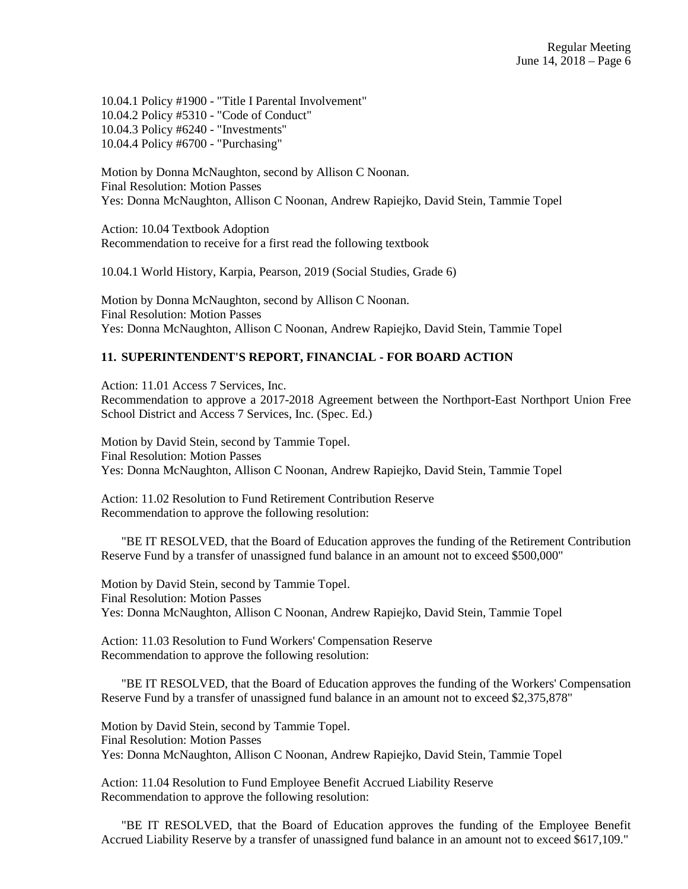10.04.1 Policy #1900 - "Title I Parental Involvement" 10.04.2 Policy #5310 - "Code of Conduct" 10.04.3 Policy #6240 - "Investments" 10.04.4 Policy #6700 - "Purchasing"

Motion by Donna McNaughton, second by Allison C Noonan. Final Resolution: Motion Passes Yes: Donna McNaughton, Allison C Noonan, Andrew Rapiejko, David Stein, Tammie Topel

Action: 10.04 Textbook Adoption Recommendation to receive for a first read the following textbook

10.04.1 World History, Karpia, Pearson, 2019 (Social Studies, Grade 6)

Motion by Donna McNaughton, second by Allison C Noonan. Final Resolution: Motion Passes Yes: Donna McNaughton, Allison C Noonan, Andrew Rapiejko, David Stein, Tammie Topel

### **11. SUPERINTENDENT'S REPORT, FINANCIAL - FOR BOARD ACTION**

Action: 11.01 Access 7 Services, Inc. Recommendation to approve a 2017-2018 Agreement between the Northport-East Northport Union Free School District and Access 7 Services, Inc. (Spec. Ed.)

Motion by David Stein, second by Tammie Topel. Final Resolution: Motion Passes Yes: Donna McNaughton, Allison C Noonan, Andrew Rapiejko, David Stein, Tammie Topel

Action: 11.02 Resolution to Fund Retirement Contribution Reserve Recommendation to approve the following resolution:

 "BE IT RESOLVED, that the Board of Education approves the funding of the Retirement Contribution Reserve Fund by a transfer of unassigned fund balance in an amount not to exceed \$500,000"

Motion by David Stein, second by Tammie Topel. Final Resolution: Motion Passes Yes: Donna McNaughton, Allison C Noonan, Andrew Rapiejko, David Stein, Tammie Topel

Action: 11.03 Resolution to Fund Workers' Compensation Reserve Recommendation to approve the following resolution:

 "BE IT RESOLVED, that the Board of Education approves the funding of the Workers' Compensation Reserve Fund by a transfer of unassigned fund balance in an amount not to exceed \$2,375,878"

Motion by David Stein, second by Tammie Topel. Final Resolution: Motion Passes Yes: Donna McNaughton, Allison C Noonan, Andrew Rapiejko, David Stein, Tammie Topel

Action: 11.04 Resolution to Fund Employee Benefit Accrued Liability Reserve Recommendation to approve the following resolution:

 "BE IT RESOLVED, that the Board of Education approves the funding of the Employee Benefit Accrued Liability Reserve by a transfer of unassigned fund balance in an amount not to exceed \$617,109."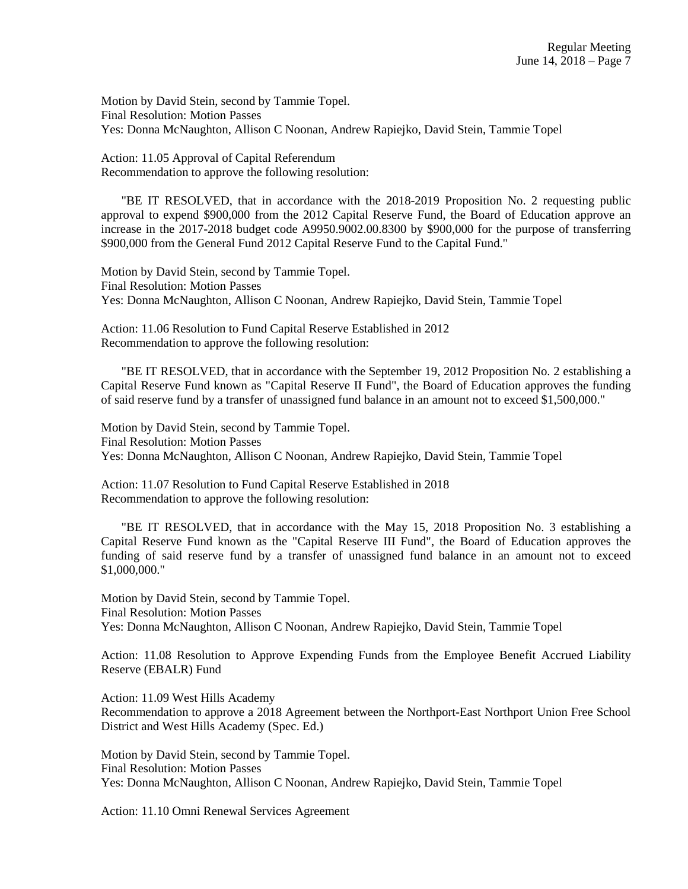Motion by David Stein, second by Tammie Topel. Final Resolution: Motion Passes Yes: Donna McNaughton, Allison C Noonan, Andrew Rapiejko, David Stein, Tammie Topel

Action: 11.05 Approval of Capital Referendum Recommendation to approve the following resolution:

 "BE IT RESOLVED, that in accordance with the 2018-2019 Proposition No. 2 requesting public approval to expend \$900,000 from the 2012 Capital Reserve Fund, the Board of Education approve an increase in the 2017-2018 budget code A9950.9002.00.8300 by \$900,000 for the purpose of transferring \$900,000 from the General Fund 2012 Capital Reserve Fund to the Capital Fund."

Motion by David Stein, second by Tammie Topel. Final Resolution: Motion Passes Yes: Donna McNaughton, Allison C Noonan, Andrew Rapiejko, David Stein, Tammie Topel

Action: 11.06 Resolution to Fund Capital Reserve Established in 2012 Recommendation to approve the following resolution:

 "BE IT RESOLVED, that in accordance with the September 19, 2012 Proposition No. 2 establishing a Capital Reserve Fund known as "Capital Reserve II Fund", the Board of Education approves the funding of said reserve fund by a transfer of unassigned fund balance in an amount not to exceed \$1,500,000."

Motion by David Stein, second by Tammie Topel. Final Resolution: Motion Passes Yes: Donna McNaughton, Allison C Noonan, Andrew Rapiejko, David Stein, Tammie Topel

Action: 11.07 Resolution to Fund Capital Reserve Established in 2018 Recommendation to approve the following resolution:

 "BE IT RESOLVED, that in accordance with the May 15, 2018 Proposition No. 3 establishing a Capital Reserve Fund known as the "Capital Reserve III Fund", the Board of Education approves the funding of said reserve fund by a transfer of unassigned fund balance in an amount not to exceed \$1,000,000."

Motion by David Stein, second by Tammie Topel. Final Resolution: Motion Passes Yes: Donna McNaughton, Allison C Noonan, Andrew Rapiejko, David Stein, Tammie Topel

Action: 11.08 Resolution to Approve Expending Funds from the Employee Benefit Accrued Liability Reserve (EBALR) Fund

Action: 11.09 West Hills Academy Recommendation to approve a 2018 Agreement between the Northport-East Northport Union Free School District and West Hills Academy (Spec. Ed.)

Motion by David Stein, second by Tammie Topel. Final Resolution: Motion Passes Yes: Donna McNaughton, Allison C Noonan, Andrew Rapiejko, David Stein, Tammie Topel

Action: 11.10 Omni Renewal Services Agreement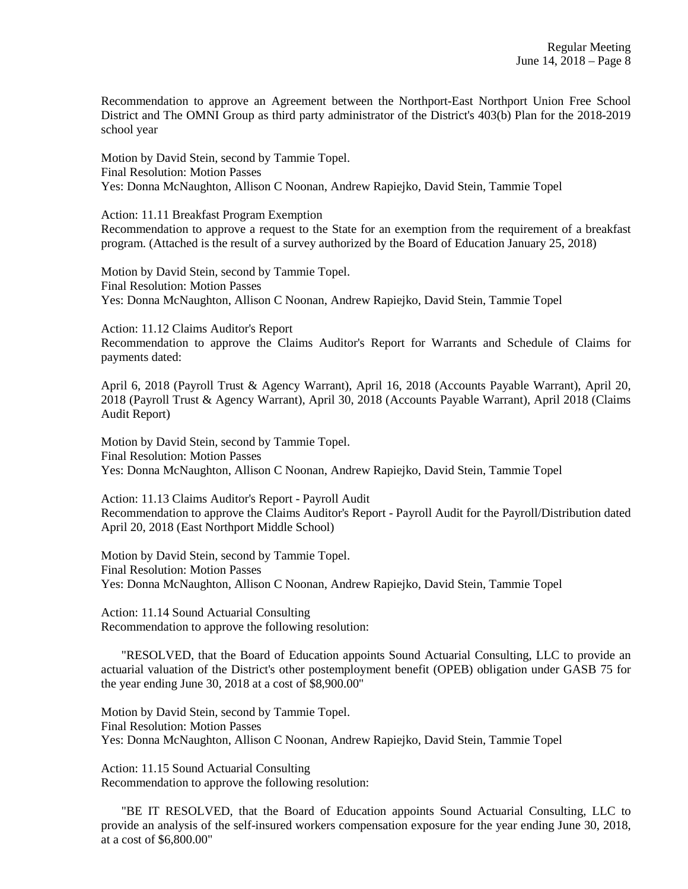Recommendation to approve an Agreement between the Northport-East Northport Union Free School District and The OMNI Group as third party administrator of the District's 403(b) Plan for the 2018-2019 school year

Motion by David Stein, second by Tammie Topel. Final Resolution: Motion Passes Yes: Donna McNaughton, Allison C Noonan, Andrew Rapiejko, David Stein, Tammie Topel

Action: 11.11 Breakfast Program Exemption Recommendation to approve a request to the State for an exemption from the requirement of a breakfast program. (Attached is the result of a survey authorized by the Board of Education January 25, 2018)

Motion by David Stein, second by Tammie Topel. Final Resolution: Motion Passes Yes: Donna McNaughton, Allison C Noonan, Andrew Rapiejko, David Stein, Tammie Topel

Action: 11.12 Claims Auditor's Report

Recommendation to approve the Claims Auditor's Report for Warrants and Schedule of Claims for payments dated:

April 6, 2018 (Payroll Trust & Agency Warrant), April 16, 2018 (Accounts Payable Warrant), April 20, 2018 (Payroll Trust & Agency Warrant), April 30, 2018 (Accounts Payable Warrant), April 2018 (Claims Audit Report)

Motion by David Stein, second by Tammie Topel. Final Resolution: Motion Passes Yes: Donna McNaughton, Allison C Noonan, Andrew Rapiejko, David Stein, Tammie Topel

Action: 11.13 Claims Auditor's Report - Payroll Audit Recommendation to approve the Claims Auditor's Report - Payroll Audit for the Payroll/Distribution dated April 20, 2018 (East Northport Middle School)

Motion by David Stein, second by Tammie Topel. Final Resolution: Motion Passes Yes: Donna McNaughton, Allison C Noonan, Andrew Rapiejko, David Stein, Tammie Topel

Action: 11.14 Sound Actuarial Consulting Recommendation to approve the following resolution:

 "RESOLVED, that the Board of Education appoints Sound Actuarial Consulting, LLC to provide an actuarial valuation of the District's other postemployment benefit (OPEB) obligation under GASB 75 for the year ending June 30, 2018 at a cost of \$8,900.00"

Motion by David Stein, second by Tammie Topel. Final Resolution: Motion Passes Yes: Donna McNaughton, Allison C Noonan, Andrew Rapiejko, David Stein, Tammie Topel

Action: 11.15 Sound Actuarial Consulting Recommendation to approve the following resolution:

 "BE IT RESOLVED, that the Board of Education appoints Sound Actuarial Consulting, LLC to provide an analysis of the self-insured workers compensation exposure for the year ending June 30, 2018, at a cost of \$6,800.00"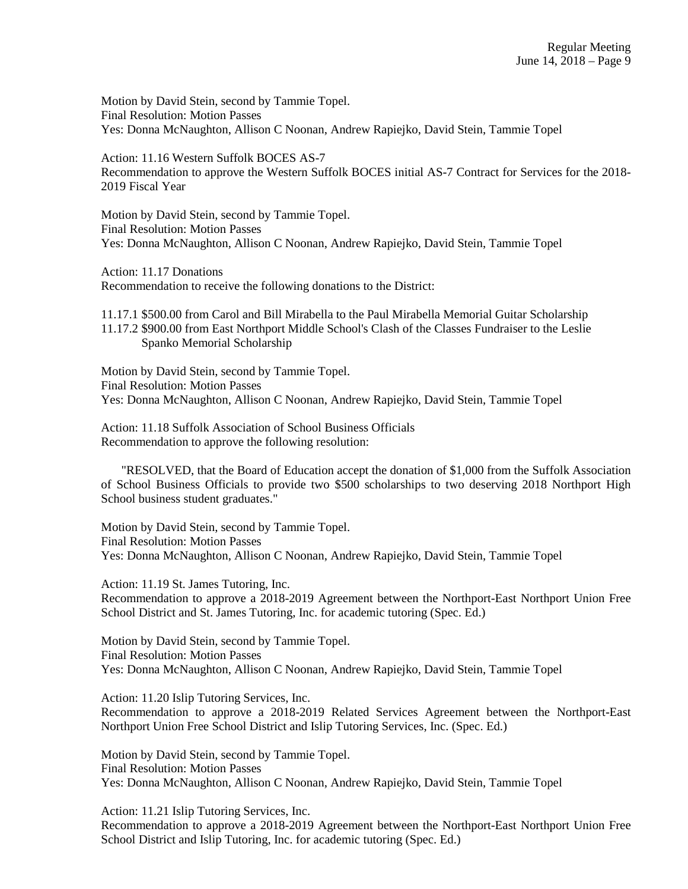Motion by David Stein, second by Tammie Topel. Final Resolution: Motion Passes Yes: Donna McNaughton, Allison C Noonan, Andrew Rapiejko, David Stein, Tammie Topel

Action: 11.16 Western Suffolk BOCES AS-7 Recommendation to approve the Western Suffolk BOCES initial AS-7 Contract for Services for the 2018- 2019 Fiscal Year

Motion by David Stein, second by Tammie Topel. Final Resolution: Motion Passes Yes: Donna McNaughton, Allison C Noonan, Andrew Rapiejko, David Stein, Tammie Topel

Action: 11.17 Donations Recommendation to receive the following donations to the District:

11.17.1 \$500.00 from Carol and Bill Mirabella to the Paul Mirabella Memorial Guitar Scholarship 11.17.2 \$900.00 from East Northport Middle School's Clash of the Classes Fundraiser to the Leslie Spanko Memorial Scholarship

Motion by David Stein, second by Tammie Topel. Final Resolution: Motion Passes Yes: Donna McNaughton, Allison C Noonan, Andrew Rapiejko, David Stein, Tammie Topel

Action: 11.18 Suffolk Association of School Business Officials Recommendation to approve the following resolution:

 "RESOLVED, that the Board of Education accept the donation of \$1,000 from the Suffolk Association of School Business Officials to provide two \$500 scholarships to two deserving 2018 Northport High School business student graduates."

Motion by David Stein, second by Tammie Topel. Final Resolution: Motion Passes Yes: Donna McNaughton, Allison C Noonan, Andrew Rapiejko, David Stein, Tammie Topel

Action: 11.19 St. James Tutoring, Inc. Recommendation to approve a 2018-2019 Agreement between the Northport-East Northport Union Free School District and St. James Tutoring, Inc. for academic tutoring (Spec. Ed.)

Motion by David Stein, second by Tammie Topel. Final Resolution: Motion Passes Yes: Donna McNaughton, Allison C Noonan, Andrew Rapiejko, David Stein, Tammie Topel

Action: 11.20 Islip Tutoring Services, Inc. Recommendation to approve a 2018-2019 Related Services Agreement between the Northport-East Northport Union Free School District and Islip Tutoring Services, Inc. (Spec. Ed.)

Motion by David Stein, second by Tammie Topel. Final Resolution: Motion Passes Yes: Donna McNaughton, Allison C Noonan, Andrew Rapiejko, David Stein, Tammie Topel

Action: 11.21 Islip Tutoring Services, Inc. Recommendation to approve a 2018-2019 Agreement between the Northport-East Northport Union Free School District and Islip Tutoring, Inc. for academic tutoring (Spec. Ed.)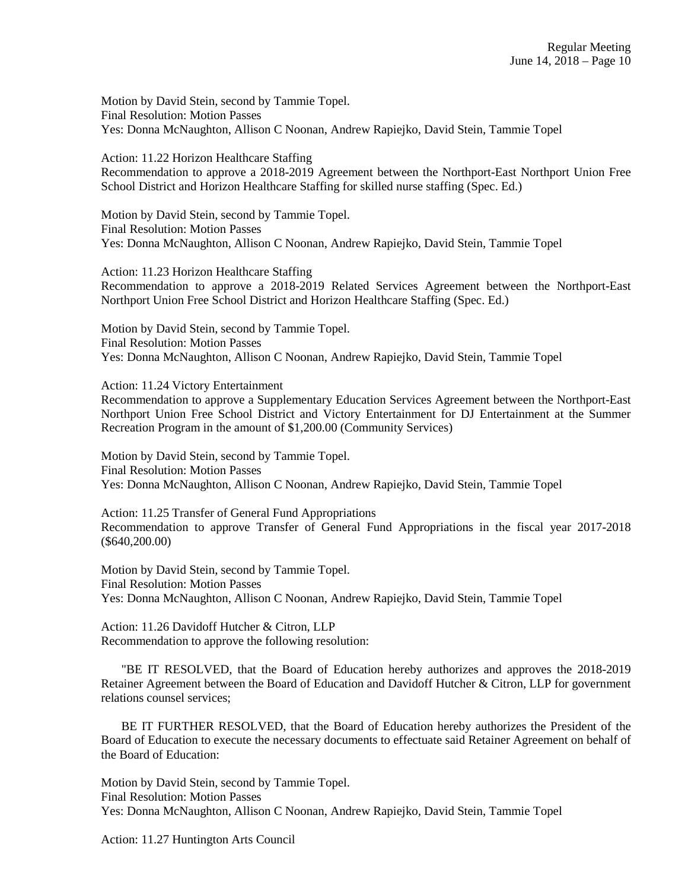Motion by David Stein, second by Tammie Topel. Final Resolution: Motion Passes Yes: Donna McNaughton, Allison C Noonan, Andrew Rapiejko, David Stein, Tammie Topel

Action: 11.22 Horizon Healthcare Staffing Recommendation to approve a 2018-2019 Agreement between the Northport-East Northport Union Free School District and Horizon Healthcare Staffing for skilled nurse staffing (Spec. Ed.)

Motion by David Stein, second by Tammie Topel. Final Resolution: Motion Passes Yes: Donna McNaughton, Allison C Noonan, Andrew Rapiejko, David Stein, Tammie Topel

Action: 11.23 Horizon Healthcare Staffing Recommendation to approve a 2018-2019 Related Services Agreement between the Northport-East Northport Union Free School District and Horizon Healthcare Staffing (Spec. Ed.)

Motion by David Stein, second by Tammie Topel. Final Resolution: Motion Passes Yes: Donna McNaughton, Allison C Noonan, Andrew Rapiejko, David Stein, Tammie Topel

Action: 11.24 Victory Entertainment

Recommendation to approve a Supplementary Education Services Agreement between the Northport-East Northport Union Free School District and Victory Entertainment for DJ Entertainment at the Summer Recreation Program in the amount of \$1,200.00 (Community Services)

Motion by David Stein, second by Tammie Topel. Final Resolution: Motion Passes Yes: Donna McNaughton, Allison C Noonan, Andrew Rapiejko, David Stein, Tammie Topel

Action: 11.25 Transfer of General Fund Appropriations Recommendation to approve Transfer of General Fund Appropriations in the fiscal year 2017-2018 (\$640,200.00)

Motion by David Stein, second by Tammie Topel. Final Resolution: Motion Passes Yes: Donna McNaughton, Allison C Noonan, Andrew Rapiejko, David Stein, Tammie Topel

Action: 11.26 Davidoff Hutcher & Citron, LLP Recommendation to approve the following resolution:

 "BE IT RESOLVED, that the Board of Education hereby authorizes and approves the 2018-2019 Retainer Agreement between the Board of Education and Davidoff Hutcher & Citron, LLP for government relations counsel services;

 BE IT FURTHER RESOLVED, that the Board of Education hereby authorizes the President of the Board of Education to execute the necessary documents to effectuate said Retainer Agreement on behalf of the Board of Education:

Motion by David Stein, second by Tammie Topel. Final Resolution: Motion Passes Yes: Donna McNaughton, Allison C Noonan, Andrew Rapiejko, David Stein, Tammie Topel

Action: 11.27 Huntington Arts Council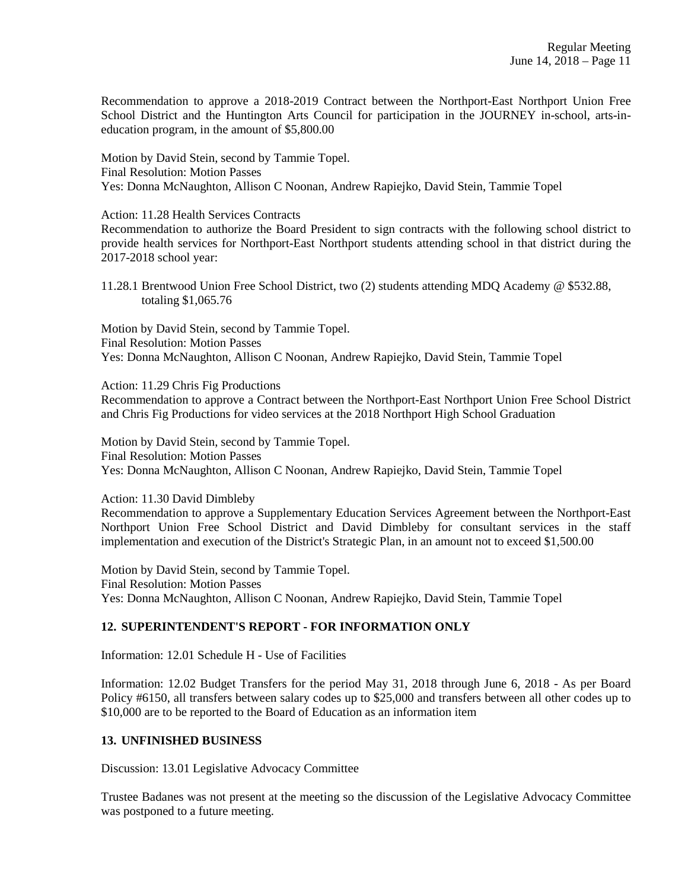Recommendation to approve a 2018-2019 Contract between the Northport-East Northport Union Free School District and the Huntington Arts Council for participation in the JOURNEY in-school, arts-ineducation program, in the amount of \$5,800.00

Motion by David Stein, second by Tammie Topel. Final Resolution: Motion Passes Yes: Donna McNaughton, Allison C Noonan, Andrew Rapiejko, David Stein, Tammie Topel

Action: 11.28 Health Services Contracts

Recommendation to authorize the Board President to sign contracts with the following school district to provide health services for Northport-East Northport students attending school in that district during the 2017-2018 school year:

11.28.1 Brentwood Union Free School District, two (2) students attending MDQ Academy @ \$532.88, totaling \$1,065.76

Motion by David Stein, second by Tammie Topel. Final Resolution: Motion Passes Yes: Donna McNaughton, Allison C Noonan, Andrew Rapiejko, David Stein, Tammie Topel

Action: 11.29 Chris Fig Productions

Recommendation to approve a Contract between the Northport-East Northport Union Free School District and Chris Fig Productions for video services at the 2018 Northport High School Graduation

Motion by David Stein, second by Tammie Topel. Final Resolution: Motion Passes Yes: Donna McNaughton, Allison C Noonan, Andrew Rapiejko, David Stein, Tammie Topel

Action: 11.30 David Dimbleby

Recommendation to approve a Supplementary Education Services Agreement between the Northport-East Northport Union Free School District and David Dimbleby for consultant services in the staff implementation and execution of the District's Strategic Plan, in an amount not to exceed \$1,500.00

Motion by David Stein, second by Tammie Topel. Final Resolution: Motion Passes Yes: Donna McNaughton, Allison C Noonan, Andrew Rapiejko, David Stein, Tammie Topel

## **12. SUPERINTENDENT'S REPORT - FOR INFORMATION ONLY**

Information: 12.01 Schedule H - Use of Facilities

Information: 12.02 Budget Transfers for the period May 31, 2018 through June 6, 2018 - As per Board Policy #6150, all transfers between salary codes up to \$25,000 and transfers between all other codes up to \$10,000 are to be reported to the Board of Education as an information item

## **13. UNFINISHED BUSINESS**

Discussion: 13.01 Legislative Advocacy Committee

Trustee Badanes was not present at the meeting so the discussion of the Legislative Advocacy Committee was postponed to a future meeting.